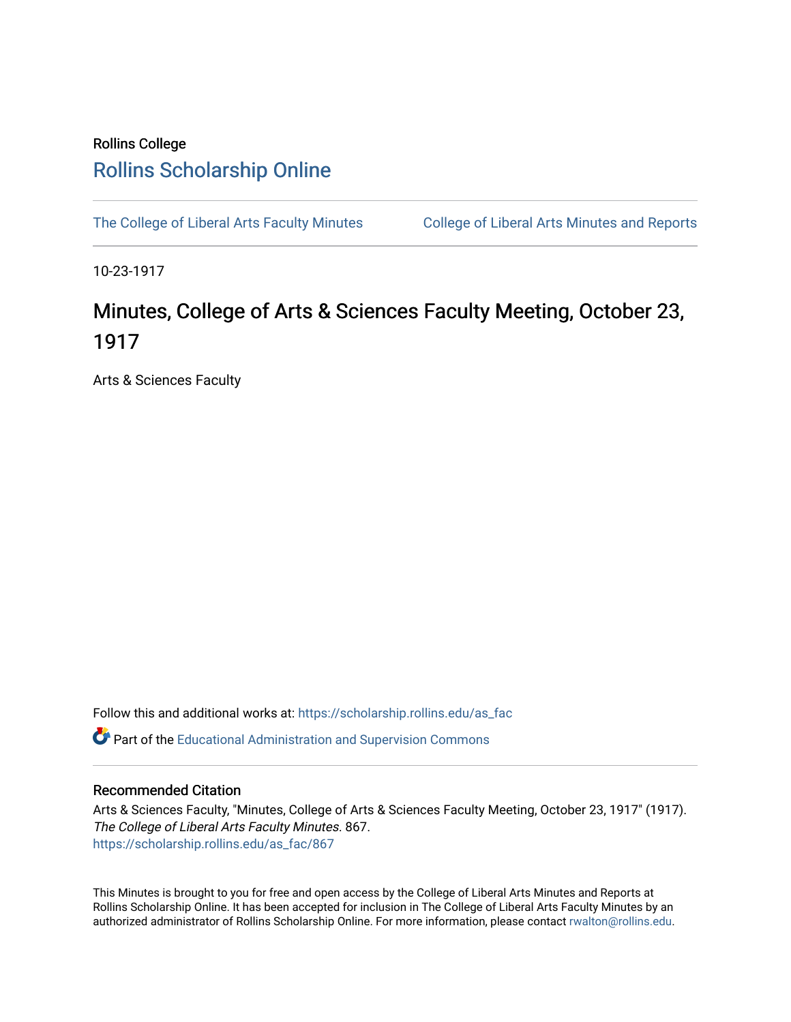## Rollins College [Rollins Scholarship Online](https://scholarship.rollins.edu/)

[The College of Liberal Arts Faculty Minutes](https://scholarship.rollins.edu/as_fac) College of Liberal Arts Minutes and Reports

10-23-1917

## Minutes, College of Arts & Sciences Faculty Meeting, October 23, 1917

Arts & Sciences Faculty

Follow this and additional works at: [https://scholarship.rollins.edu/as\\_fac](https://scholarship.rollins.edu/as_fac?utm_source=scholarship.rollins.edu%2Fas_fac%2F867&utm_medium=PDF&utm_campaign=PDFCoverPages) 

**P** Part of the [Educational Administration and Supervision Commons](http://network.bepress.com/hgg/discipline/787?utm_source=scholarship.rollins.edu%2Fas_fac%2F867&utm_medium=PDF&utm_campaign=PDFCoverPages)

## Recommended Citation

Arts & Sciences Faculty, "Minutes, College of Arts & Sciences Faculty Meeting, October 23, 1917" (1917). The College of Liberal Arts Faculty Minutes. 867. [https://scholarship.rollins.edu/as\\_fac/867](https://scholarship.rollins.edu/as_fac/867?utm_source=scholarship.rollins.edu%2Fas_fac%2F867&utm_medium=PDF&utm_campaign=PDFCoverPages) 

This Minutes is brought to you for free and open access by the College of Liberal Arts Minutes and Reports at Rollins Scholarship Online. It has been accepted for inclusion in The College of Liberal Arts Faculty Minutes by an authorized administrator of Rollins Scholarship Online. For more information, please contact [rwalton@rollins.edu](mailto:rwalton@rollins.edu).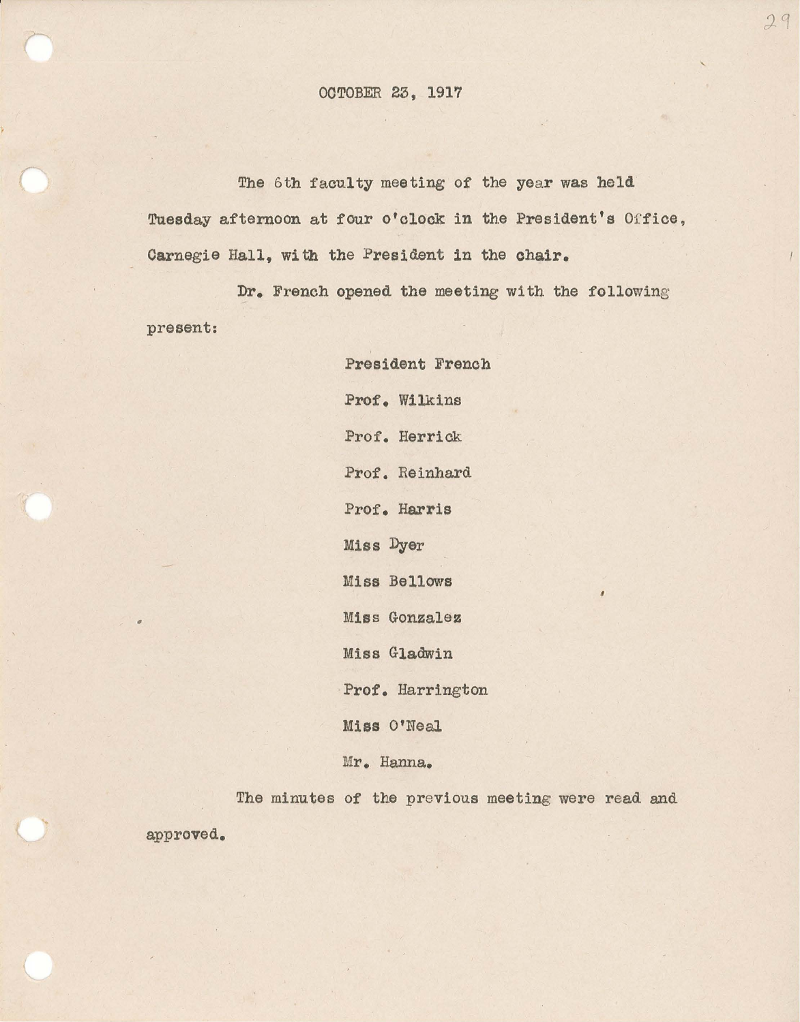## OCTOBER 23, 1917

The 6th faculty meeting of the year was held Tuesday afternoon at four o'clock in the President's Office, Carnegie Hall, with the President in the chair.

Dr. French opened the meeting with the following present:

> President French Prof. Wilkins Prof. Herrick Prof. Reinhard Prof. Harris Miss Dyer Miss Bellows Miss Gonzalez Miss Gladwin Prof. Harrington Miss O'Neal Mr. Hanna.

The minutes of the previous meeting were read and

*I* 

29

approved.